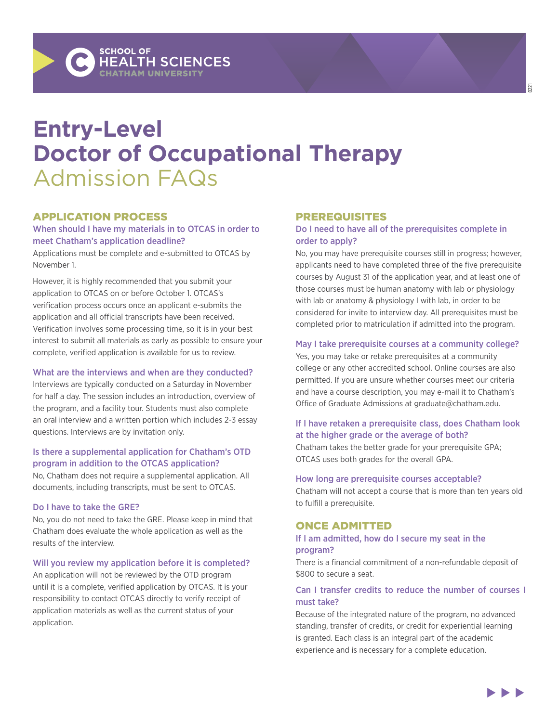# **Entry-Level Doctor of Occupational Therapy** Admission FAQs

# APPLICATION PROCESS

## When should I have my materials in to OTCAS in order to meet Chatham's application deadline?

Applications must be complete and e-submitted to OTCAS by November 1.

However, it is highly recommended that you submit your application to OTCAS on or before October 1. OTCAS's verification process occurs once an applicant e-submits the application and all official transcripts have been received. Verification involves some processing time, so it is in your best interest to submit all materials as early as possible to ensure your complete, verified application is available for us to review.

## What are the interviews and when are they conducted?

Interviews are typically conducted on a Saturday in November for half a day. The session includes an introduction, overview of the program, and a facility tour. Students must also complete an oral interview and a written portion which includes 2-3 essay questions. Interviews are by invitation only.

## Is there a supplemental application for Chatham's OTD program in addition to the OTCAS application?

No, Chatham does not require a supplemental application. All documents, including transcripts, must be sent to OTCAS.

## Do I have to take the GRE?

No, you do not need to take the GRE. Please keep in mind that Chatham does evaluate the whole application as well as the results of the interview.

## Will you review my application before it is completed?

An application will not be reviewed by the OTD program until it is a complete, verified application by OTCAS. It is your responsibility to contact OTCAS directly to verify receipt of application materials as well as the current status of your application.

## PREREQUISITES

## Do I need to have all of the prerequisites complete in order to apply?

No, you may have prerequisite courses still in progress; however, applicants need to have completed three of the five prerequisite courses by August 31 of the application year, and at least one of those courses must be human anatomy with lab or physiology with lab or anatomy & physiology I with lab, in order to be considered for invite to interview day. All prerequisites must be completed prior to matriculation if admitted into the program.

## May I take prerequisite courses at a community college?

Yes, you may take or retake prerequisites at a community college or any other accredited school. Online courses are also permitted. If you are unsure whether courses meet our criteria and have a course description, you may e-mail it to Chatham's Office of Graduate Admissions at [graduate@chatham.edu](mailto:gradadmissions@chatham.edu).

## If I have retaken a prerequisite class, does Chatham look at the higher grade or the average of both?

Chatham takes the better grade for your prerequisite GPA; OTCAS uses both grades for the overall GPA.

## How long are prerequisite courses acceptable?

Chatham will not accept a course that is more than ten years old to fulfill a prerequisite.

# ONCE ADMITTED

#### If I am admitted, how do I secure my seat in the program?

There is a financial commitment of a non-refundable deposit of \$800 to secure a seat.

## Can I transfer credits to reduce the number of courses I must take?

Because of the integrated nature of the program, no advanced standing, transfer of credits, or credit for experiential learning is granted. Each class is an integral part of the academic experience and is necessary for a complete education.